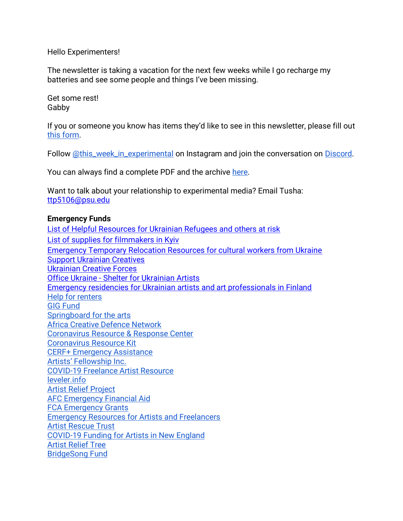Hello Experimenters!

The newsletter is taking a vacation for the next few weeks while I go recharge my batteries and see some people and things I've been missing.

Get some rest! Gabby

If you or someone you know has items they'd like to see in this newsletter, please fill out [this form.](https://forms.gle/aAtxrz2GTLAHzxNt7)

Follow [@this\\_week\\_in\\_experimental](https://www.instagram.com/this_week_in_experimental/) on Instagram and join the conversation on [Discord.](https://discord.gg/7dtZfbgemg)

You can always find a complete PDF and the archive [here.](https://www.gfollettsumney.com/this-week-in-experimental.html)

Want to talk about your relationship to experimental media? Email Tusha: [ttp5106@psu.edu](mailto:ttp5106@psu.edu)

#### **Emergency Funds**

[List of Helpful Resources for Ukrainian Refugees and others at risk](http://oberliht.org/wp-content/uploads/2022/03/List-of-Helpful-Resources-for-Ukrainian-Refugees-and-others-at-risk.pdf) [List of supplies for filmmakers in Kyiv](https://docs.google.com/spreadsheets/d/1AoxkubXX1NVaAONJ27CwAndJxx8GvvYrQqswYYZMqIM/edit#gid=0) [Emergency Temporary Relocation Resources for cultural workers from Ukraine](https://docs.google.com/document/d/1zDP7jpiRj6M_NCTxY5P6A3IDjSaHLSvIsri-Vzb-A7g/edit?usp=sharing) [Support Ukrainian Creatives](https://docs.google.com/forms/d/e/1FAIpQLSc3vkx2iqH45Zl1aaNvlfVrLzf9I5is0vqAs0FZjoQWm-9IHw/viewform?fbclid=IwAR3VtgnvRUgF4VeKuelLqAfBoapxZZDtM157yV-WuKDkumi-qwaq_xqURfk) [Ukrainian Creative Forces](https://docs.google.com/forms/d/e/1FAIpQLSeMw87Reqj7ZlHyZxEf4cfZHgX5P5CLtjCY4LxujRheZRxzVQ/viewform) Office Ukraine - [Shelter for Ukrainian Artists](https://www.bmkoes.gv.at/Kunst-und-Kultur/Neuigkeiten/Office-Ukraine.html) [Emergency residencies for Ukrainian artists and art professionals in Finland](https://koneensaatio.fi/en/news/emergency-residencies/) [Help for renters](https://www.consumerfinance.gov/coronavirus/mortgage-and-housing-assistance/renter-protections/#rental-assistance) [GIG Fund](https://www.artsmidwest.org/programs/gigfund) [Springboard for the arts](https://springboardforthearts.org/coronavirus/) [Africa Creative Defence Network](https://artistsatriskconnection.org/story/amani-africa-creative-defence-network) [Coronavirus Resource & Response Center](https://www.americansforthearts.org/by-topic/disaster-preparedness/coronavirus-covid-19-resource-and-response-center#impact) [Coronavirus Resource Kit](https://docs.google.com/document/u/1/d/1Rcan4C_e6OBFBI5bUn7MtYK74Ab-WarxyJmDvZUI_YA/mobilebasic?urp=gmail_link) [CERF+ Emergency Assistance](https://cerfplus.org/get-relief/apply-for-help/craft-emergency-relief-fund/) [Artists' Fellowship Inc.](https://www.artistsfellowship.org/financial-aid-application) [COVID-19 Freelance Artist Resource](https://www.freelanceartistresource.com/) [leveler.info](https://www.leveler.info/) [Artist Relief Project](https://artistreliefproject.org/request_funding/) [AFC Emergency Financial Aid](https://afchelps.ca/covid-19-guide/) [FCA Emergency Grants](https://www.foundationforcontemporaryarts.org/grants/emergency-grants/) [Emergency Resources for Artists and Freelancers](https://docs.google.com/document/d/1xv238DlW_9HWhJTHr561r8fPaD4BSzOZraDOm2ESyeA/edit) [Artist Rescue Trust](https://artistrescue.org/?fbclid=IwAR2V26dcrdrAzARHGEgfMoo7ftKVU1vXh6pY_PJBAQAPeLo1IsgghDDUU0I) [COVID-19 Funding for Artists in New England](https://newenglandfilm.com/magazine/2020/04/covid-19-funding-for-artists-in-new-england) [Artist Relief Tree](https://artistrelieftree.com/helpful-resources/) [BridgeSong Fund](https://docs.google.com/forms/d/1yRXi5ehvyoJPXKmTx4tAfKU8agpoLHbW2Y-6MYT51eA/viewform?ts=5e7bf119&edit_requested=true)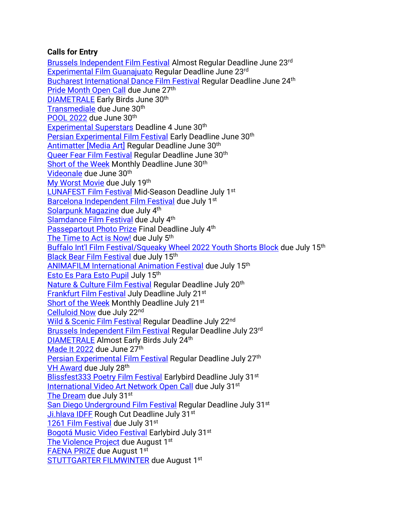# **Calls for Entry**

[Brussels Independent Film Festival](https://filmfreeway.com/BrusselsFilmFestival) Almost Regular Deadline June 23rd [Experimental Film Guanajuato](https://filmfreeway.com/ExperimentalFilm) Regular Deadline June 23rd [Bucharest International Dance Film Festival](https://filmfreeway.com/bidff2022) Regular Deadline June 24th [Pride Month Open Call](https://www.alternativeprocesses.org/pride-month-open-call) due June 27<sup>th</sup> [DIAMETRALE](https://filmfreeway.com/Diametrale) Early Birds June 30th [Transmediale](https://data.transmediale.de/assets/uploads/tm23_call_for_proposals.pdf) due June 30<sup>th</sup> [POOL 2022](https://pool-festival.de/open-call/) due June 30th [Experimental Superstars](https://filmfreeway.com/ExperimentalSuperstars?fbclid=IwAR2oWQx98KIYyakd42hts_Fwnwq3zhDqmX191M1Bj34bsa9NqihowVkTcFA) Deadline 4 June 30<sup>th</sup> [Persian Experimental Film Festival](https://filmfreeway.com/persianexpfilmfest?fbclid=IwAR3k4gt3qoAHgKUnqPQNOaRgZcOAz9mvau1qG-i78xr5ZVMwJ1v-i4CJUQY) Early Deadline June 30<sup>th</sup> Antimatter [\[Media Art\]](https://filmfreeway.com/AntimatterMediaArt) Regular Deadline June 30th [Queer Fear Film Festival](https://filmfreeway.com/QueerFearFilmFestival) Regular Deadline June 30<sup>th</sup> [Short of the Week](https://filmfreeway.com/shortoftheweek) Monthly Deadline June 30<sup>th</sup> [Videonale](https://v19.videonale.org/en/call) due June 30th [My Worst Movie](https://www.instagram.com/p/CeEZpZru1F8/?utm_source=ig_web_copy_link) due July 19th [LUNAFEST Film Festival](https://filmfreeway.com/LUNAFEST?action=show&controller=festivals&utm_campaign=Recently+Opened+for+Entries&utm_medium=email&utm_source=filmmaker_newsletter) Mid-Season Deadline July 1st [Barcelona Independent Film Festival](https://alternativa.cccb.org/2022/en/2022-call-for-entries/film-submissions) due July 1<sup>st</sup> [Solarpunk Magazine](https://solarpunkmagazine.com/submissions/?link_id=0&can_id=8cfe016bd2443877d625c24c9231c76e&source=email-submissions-open-for-issue-2-of-the-jobs-with-justice-zine&email_referrer=email_1580851&email_subject=submissions-open-for-issue-2-of-the-jobs-with-justice-zine) due July 4<sup>th</sup> [Slamdance Film Festival](https://filmfreeway.com/SlamdanceFilmFestival) due July 4th [Passepartout Photo Prize](https://www.passepartoutprize.com/about/) Final Deadline July 4th [The Time to Act is Now!](https://www.worldphoto.org/picture-this) due July 5<sup>th</sup> [Buffalo Int'l Film Festival/Squeaky Wheel 2022 Youth Shorts Block](https://docs.google.com/forms/d/e/1FAIpQLSeNzjnpVORG4uEUNOcxV5-zLuMubBdlFNdbACI2WGcG1cmg5g/viewform) due July 15th [Black Bear Film Festival](https://filmfreeway.com/BlackBearFilmFestival) due July 15th [ANIMAFILM International Animation Festival](https://filmfreeway.com/ANIMAFILM-Baku_International_Animation_Festival) due July 15th [Esto Es Para Esto Pupil](https://filmfreeway.com/EstoEsParaEsto) July 15th [Nature & Culture Film Festival](https://filmfreeway.com/poeticphonotheque) Regular Deadline July 20<sup>th</sup> [Frankfurt Film Festival](https://filmfreeway.com/filmfestfrankfurt) July Deadline July 21st [Short of the Week](https://filmfreeway.com/shortoftheweek) Monthly Deadline July 21<sup>st</sup> [Celluloid Now](https://celluloidnow.org/submissions/) due July 22nd [Wild & Scenic Film Festival](https://filmfreeway.com/WildScenicFilmFestival?action=show&controller=festivals&utm_campaign=Recently+Opened+for+Entries&utm_medium=email&utm_source=filmmaker_newsletter) Regular Deadline July 22<sup>nd</sup> [Brussels Independent Film Festival](https://filmfreeway.com/BrusselsFilmFestival) Regular Deadline July 23rd [DIAMETRALE](https://filmfreeway.com/Diametrale) Almost Early Birds July 24th [Made It 2022](https://www.shortsupply.org/madeit2022) due June 27th [Persian Experimental Film Festival](https://filmfreeway.com/persianexpfilmfest?fbclid=IwAR3k4gt3qoAHgKUnqPQNOaRgZcOAz9mvau1qG-i78xr5ZVMwJ1v-i4CJUQY) Regular Deadline July 27<sup>th</sup> [VH Award](https://vhaward.com/how-to-participate-eng/) due July 28<sup>th</sup> [Blissfest333 Poetry Film Festival](https://filmfreeway.com/Blissfest333?fbclid=IwAR3SXlnJkbxP3EMzx5u-uNQpJPDacUXsTXUY6HNMa7Geirm7qCX8bBE04Ps) Earlybird Deadline July 31<sup>st</sup> [International Video Art Network](https://docs.google.com/forms/d/1D-_jMs0RS6gIb6BJ-VwWpV3bG4H_36GWRHp81OqudTY/viewform?edit_requested=true) Open Call due July 31st [The Dream](https://agoradigital.art/virtual-reality-exhibitions/the-dream/) due July 31st [San Diego Underground Film Festival](https://filmfreeway.com/SanDiegoUndergroundFilmFestival) Regular Deadline July 31<sup>st</sup> [Ji.hlava IDFF](https://www.ji-hlava.com/prihlaseni-filmu) Rough Cut Deadline July 31st [1261 Film Festival](https://filmfreeway.com/1261FilmFestival?action=show&controller=festivals&utm_campaign=Recently+Opened+for+Entries&utm_medium=email&utm_source=filmmaker_newsletter) due July 31st Bogotá Music [Video Festival](https://filmfreeway.com/BMVF?action=show&controller=festivals&utm_campaign=Recently+Opened+for+Entries&utm_medium=email&utm_source=filmmaker_newsletter) Earlybird July 31<sup>st</sup> [The Violence Project](http://netex.nmartproject.net/?p=11365) due August 1<sup>st</sup> [FAENA PRIZE](https://www.faenaart.org/programs/faena-prize) due August 1st [STUTTGARTER FILMWINTER](https://filmwinter.de/en) due August 1st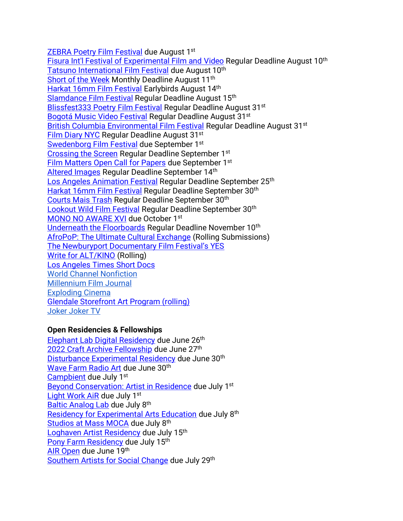[ZEBRA Poetry Film Festival](https://filmfreeway.com/ZEBRAPoetryFilmFestival?action=show&controller=festivals&utm_campaign=Recently+Opened+for+Entries&utm_medium=email&utm_source=filmmaker_newsletter) due August 1st [Fisura Int'l Festival of Experimental Film and](https://filmfreeway.com/FISURAInternationalFilmFestival?fbclid=IwAR3iJlFVGCEMZq9SoP9f2It8A9hMkF3brJlEvHacUSoJ1YVbIluJcsXvulI) Video Regular Deadline August 10<sup>th</sup> [Tatsuno International Film Festival](https://filmfreeway.com/Tatsuno) due August 10<sup>th</sup> [Short of the Week](https://filmfreeway.com/shortoftheweek) Monthly Deadline August 11th [Harkat 16mm Film Festival](https://filmfreeway.com/16mmfilmfestival) Earlybirds August 14th [Slamdance Film Festival](https://filmfreeway.com/SlamdanceFilmFestival) Regular Deadline August 15<sup>th</sup> [Blissfest333 Poetry Film Festival](https://filmfreeway.com/Blissfest333?fbclid=IwAR3SXlnJkbxP3EMzx5u-uNQpJPDacUXsTXUY6HNMa7Geirm7qCX8bBE04Ps) Regular Deadline August 31<sup>st</sup> [Bogotá Music Video Festival](https://filmfreeway.com/BMVF?action=show&controller=festivals&utm_campaign=Recently+Opened+for+Entries&utm_medium=email&utm_source=filmmaker_newsletter) Regular Deadline August 31<sup>st</sup> [British Columbia Environmental Film Festival](https://filmfreeway.com/BritishColumbiaEnvironmentalFilmFestivalBCEFF?action=show&controller=festivals&utm_campaign=British+Columbia+Environmental+Film+Festival&utm_medium=External&utm_source=Submission+Button) Regular Deadline August 31<sup>st</sup> [Film Diary NYC](https://filmfreeway.com/FilmDiary) Regular Deadline August 31st [Swedenborg Film Festival](https://filmfreeway.com/SwedenborgFilmFestival) due September 1<sup>st</sup> [Crossing the Screen](https://filmfreeway.com/Crossingthescreen) Regular Deadline September 1st [Film Matters Open Call for Papers](https://www.filmmattersmagazine.com/2022/04/04/open-call-for-papers-14-1/) due September 1st [Altered Images](https://filmfreeway.com/AlteredImages?fbclid=IwAR303Zuvk4X7G_1Uj2KZ3ltYulh0WNk8vEmUyECj7c3yWiWFRLZatW8JoFI) Regular Deadline September 14th [Los Angeles Animation Festival](https://filmfreeway.com/LAAF) Regular Deadline September 25<sup>th</sup> [Harkat 16mm Film Festival](https://filmfreeway.com/16mmfilmfestival) Regular Deadline September 30th [Courts Mais Trash](https://filmfreeway.com/CourtsMaisTrash) Regular Deadline September 30th [Lookout Wild Film Festival](https://filmfreeway.com/LookoutWildFilmFestival) Regular Deadline September 30<sup>th</sup> [MONO NO AWARE XVI](https://docs.google.com/forms/d/e/1FAIpQLSe9KQdWTzQ9GiJEK3VWwuOZnRdLZAGnv3aKi7A2IlhTWcgCXA/viewform) due October 1st [Underneath the Floorboards](https://filmfreeway.com/MyFilmFestival-534726?fbclid=IwAR0F6CZJgpvTHp_1KMibmwE2mM_tddq6w5s8flWPFyNtLPQsW6G4763HPes) Regular Deadline November 10<sup>th</sup> [AfroPoP: The Ultimate Cultural Exchange](https://submissions.blackpublicmedia.org/submit/29357/afropop-the-ultimate-cultural-exchange-rolling-submissions?utm_source=constant-contact&utm_medium=newsletter&utm_campaign=filmmakers-afro-pop) (Rolling Submissions) [The Newburyport Documentary Film Festival's YES](https://www.nbptdocufest.org/festival/yes-film-submissions) [Write for ALT/KINO](https://www.altkino.com/write-for-us) (Rolling) [Los Angeles Times Short Docs](https://www.latimes.com/about/short-docs/story/2022-01-05/short-docs-submission-form?fbclid=IwAR2kBZ4XtBO-Kw8HE5RHd_1iqA37uspVgOroBF77fLnm0pRAPsPFAE8l5Bs) [World Channel Nonfiction](https://worldchannel.org/submit/filmmaker/) [Millennium Film Journal](https://millenniumfilmjournal.com/submissions/) [Exploding Cinema](https://explodingcinema.org/2020/submit-film/) [Glendale Storefront Art Program \(rolling\)](https://www.glendaleca.gov/government/departments/library-arts-culture/arts-culture-commission/storefront-art-program-artist-application) [Joker Joker TV](http://jokerjokertv.com/submit/?fbclid=IwAR2sJ1ia0y_CTjVkhRp940ItD3O-6ZxbpUdzjq40jT_XcyMJUWPIlJil53Y)

# **Open Residencies & Fellowships**

[Elephant Lab Digital Residency](https://elephant.art/lab/) due June 26th [2022 Craft Archive Fellowship](https://centerforcraft.slideroom.com/#/login/program/66371) due June 27<sup>th</sup> [Disturbance Experimental Residency](http://uglyduck.org.uk/portfolio_page/disturbance4/) due June 30<sup>th</sup> [Wave Farm Radio Art](https://wavefarm.org/radio/wgxc/calendar/0nayyg) due June 30th [Campbient](https://realmorereal.org/campbient-application/) due July 1st [Beyond Conservation: Artist in Residence](https://www.studioverdeair.com/applyperu) due July 1st [Light Work AiR](https://lightwork.slideroom.com/#/login/program/61227) due July 1st [Baltic Analog Lab](https://www.balticanaloglab.lv/summer-school-2022) due July 8th [Residency for Experimental Arts Education](https://cmany.org/cma-artist-educator-residency/) due July 8th [Studios at Mass MOCA](https://www.assetsforartists.org/applying) due July 8th [Loghaven Artist Residency](https://loghaven.org/residencies/apply/) due July 15th [Pony Farm Residency](https://www.theponyfarm.com/open-call) due July 15th [AIR Open](https://www.airgallery.space/opencall?fbclid=IwAR0O9RLLFTis3q4ir5WYNWtgVjCz0hhMPwh8Io_mgGwBxkEtruQSvOviQnE) due June 19th [Southern Artists for Social Change](https://npnweb.org/programs/southern-artists-for-social-change/) due July 29th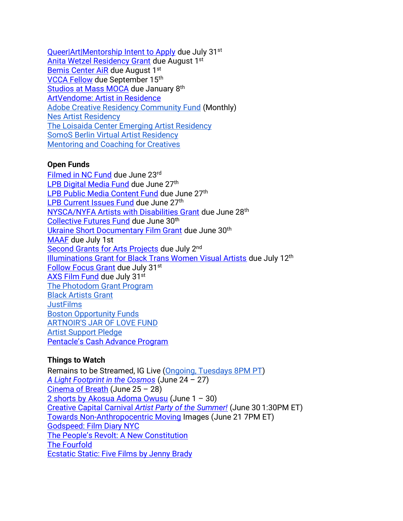[Queer|Art|Mentorship Intent to Apply](https://docs.google.com/forms/d/e/1FAIpQLSdNLi0txwTiisDgYT36XS1_uvvdB_4hHXglnPtH7QnkjPZqEw/viewform) due July 31<sup>st</sup> [Anita Wetzel Residency Grant](https://wsworkshop.org/residencies/anita-wetzel-studio-residency/) due August 1st [Bemis Center AiR](https://bemis.slideroom.com/#/login) due August 1st [VCCA Fellow](https://www.vcca.com/apply/) due September 15th [Studios at Mass MOCA](https://www.assetsforartists.org/applying) due January 8<sup>th</sup> [ArtVendome: Artist in Residence](https://www.vendomehotel.com/artvendome) [Adobe Creative Residency Community Fund](https://adobe.smapply.io/prog/adobe_creative_residency_community_fund_/) (Monthly) [Nes Artist Residency](https://docs.google.com/forms/d/e/1FAIpQLSfbokgQ5Jq5ZYa9y87lK9xq7n0yOJq8flXXNTNovTf2MRYg1w/viewform?formkey=dGM1OUN1R2xwYWl6eDgzZXJmU2YtVEE6MQ) The [Loisaida Center Emerging Artist Residency](https://docs.google.com/forms/d/e/1FAIpQLSdlETDquK-aDjonTcv-93WfUch04Bt0PLLYply6JxsmDzOfeA/viewform) [SomoS Berlin Virtual Artist Residency](https://www.somos-arts.org/somos-berlin-virtual-artist-residency/?fbclid=IwAR3hGjPBwOPyqSVfwDXjZx30jYu0cAD7YoPoXntyJXMapUVrRRHkIm9pbyQ) [Mentoring and Coaching for Creatives](https://www.artistmentor.co.uk/registration-and-booking/)

# **Open Funds**

[Filmed in NC Fund](https://www.cucalorus.org/programs/filmedinnc/) due June 23rd [LPB Digital Media Fund](https://lpbp.org/digital-media-fund-guidelines/) due June 27<sup>th</sup> [LPB Public Media Content Fund](https://lpbp.org/public-media-content-fund-guidelines/) due June 27<sup>th</sup> [LPB Current Issues Fund](https://lpbp.org/current-issues-fund-guidelines/) due June 27<sup>th</sup> [NYSCA/NYFA Artists with](https://www.nyfa.org/awards-grants/nysca-nyfa-artists-with-disabilities-grant/?mc_cid=9843227a03&mc_eid=90f30b4dbb) Disabilities Grant due June 28th [Collective Futures Fund](https://collectivefuturesfund.slideroom.com/#/Login) due June 30<sup>th</sup> [Ukraine Short Documentary Film Grant](https://screeningroom.org/festivals/public/ukraine-short-documentary-grant) due June 30th [MAAF](https://wavefarm.org/grants/maaf-artists/about?fbclid=IwAR2K4YF-u4v8bw4A5R6f6Hl-NZxz_zhf1SRqLIEnlOtGc1Bf7ouoNUk6IVM) due July 1st [Second Grants for Arts Projects](https://www.arts.gov/grants/grants-for-arts-projects/media-arts) due July 2<sup>nd</sup> [Illuminations Grant for Black Trans Women Visual Artists](https://www.queer-art.org/illuminations-grant?mc_cid=dadd1b2155&mc_eid=90f30b4dbb) due July 12th [Follow Focus Grant](https://screeningroom.org/festivals/public/screeningroom-&-jigsaw-productions-2022-follow-focus-grant) due July 31st [AXS Film Fund](https://www.axsfilmfund.org/) due July 31st [The Photodom Grant Program](https://photodom.shop/grant-program/?mc_cid=c5f90928a3&mc_eid=3e589c1a44) [Black Artists Grant](https://creativedebuts.co.uk/bag/) **[JustFilms](https://www.fordfoundation.org/work/our-grants/justfilms/justfilms-inquiry/)** [Boston Opportunity Funds](https://cityofbostonartsandculture.submittable.com/submit) [ARTNOIR'S JAR OF LOVE FUND](https://docs.google.com/forms/d/e/1FAIpQLSf1Lt2O1w5BlC2F4qfoBW6m-5P1eLunaUx0PL1sN9uybTV_6A/viewform) [Artist Support Pledge](https://artistsupportpledge.com/) [Pentacle's Cash Advance Program](https://www.pentacle.org/new-initiatives/cash-advance-program/)

# **Things to Watch**

Remains to be Streamed, IG Live [\(Ongoing, Tuesdays 8PM PT\)](https://www.instagram.com/preservationinsanity/) *[A Light Footprint in the Cosmos](https://www.sfu.ca/sca/events---news/events/a-light-footprint-in-the-cosmos.html)* (June 24 – 27) [Cinema of Breath](https://www.eventbrite.com/e/cinema-of-breath-rapturerupture-virtual-film-program-tickets-369660162497?keep_tld=1&fbclid=IwAR16kFPrXKGTx1lH9pXT1znc83rSzKc2IONFnU1jO1fHpl7g_f7h1jN3ugc) (June 25 – 28) [2 shorts by Akosua Adoma Owusu](https://www.e-flux.com/video/programs/471968/akosua-adoma-owusu/) (June 1 – 30) Creative Capital Carnival *[Artist Party of the Summer!](https://creative-capital.org/carnival-2022/?mc_cid=e1d590a98b&mc_eid=74a8c13742)* (June 30 1:30PM ET) [Towards Non-Anthropocentric Moving](https://www.e-flux.com/live/475136/towards-non-anthropocentric-moving-images-exemplars-of-a-counter-history-a-lecture-by-nbsp-jonathan-walley-nbsp/) Images (June 21 7PM ET) [Godspeed: Film Diary NYC](https://www.millenniumfilm.org/workshop-channel) [The People's Revolt: A New Constitution](https://www.millenniumfilm.org/workshop-channel) [The Fourfold](https://vimeo.com/722066469) [Ecstatic Static: Five Films by Jenny Brady](https://www.ecstaticstatic.com/screenings/827)